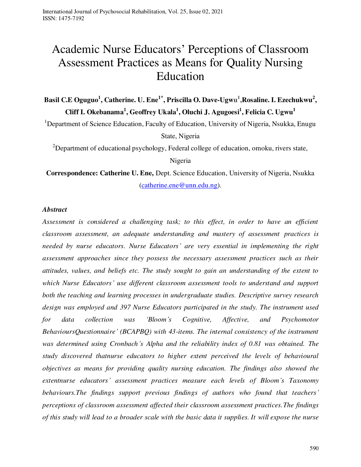# Academic Nurse Educators' Perceptions of Classroom Assessment Practices as Means for Quality Nursing Education

Basil C.E Oguguo<sup>1</sup>, Catherine. U. Ene<sup>1\*</sup>, Priscilla O. Dave-Ugwu<sup>1</sup>, Rosaline. I. Ezechukwu<sup>2</sup>, **Cliff I. Okebanama<sup>1</sup> , Geoffrey Ukala<sup>1</sup> , Oluchi J. Agugoesi<sup>1</sup> , Felicia C. Ugwu<sup>1</sup>**

<sup>1</sup>Department of Science Education, Faculty of Education, University of Nigeria, Nsukka, Enugu State, Nigeria

 $2D$ epartment of educational psychology, Federal college of education, omoku, rivers state,

Nigeria

**Correspondence: Catherine U. Ene,** Dept. Science Education, University of Nigeria, Nsukka [\(catherine.ene@unn.edu.ng\)](mailto:catherine.ene@unn.edu.ng).

### *Abstract*

*Assessment is considered a challenging task; to this effect, in order to have an efficient classroom assessment, an adequate understanding and mastery of assessment practices is needed by nurse educators. Nurse Educators' are very essential in implementing the right assessment approaches since they possess the necessary assessment practices such as their attitudes, values, and beliefs etc. The study sought to gain an understanding of the extent to which Nurse Educators' use different classroom assessment tools to understand and support both the teaching and learning processes in undergraduate studies. Descriptive survey research design was employed and 397 Nurse Educators participated in the study. The instrument used for data collection was 'Bloom's Cognitive, Affective, and Psychomotor BehavioursQuestionnaire' (BCAPBQ) with 43-items. The internal consistency of the instrument was determined using Cronbach's Alpha and the reliability index of 0.81 was obtained. The study discovered thatnurse educators to higher extent perceived the levels of behavioural objectives as means for providing quality nursing education. The findings also showed the extentnurse educators' assessment practices measure each levels of Bloom's Taxonomy behaviours.The findings support previous findings of authors who found that teachers' perceptions of classroom assessment affected their classroom assessment practices.The findings of this study will lead to a broader scale with the basic data it supplies. It will expose the nurse*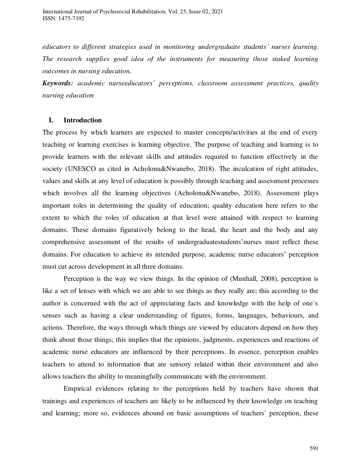*educators to different strategies used in monitoring undergraduate students' nurses learning. The research supplies good idea of the instruments for measuring those staked learning outcomes in nursing education.* 

*Keywords: academic nurseeducators' perceptions, classroom assessment practices, quality nursing education* 

### **I. Introduction**

The process by which learners are expected to master concepts/activities at the end of every teaching or learning exercises is learning objective. The purpose of teaching and learning is to provide learners with the relevant skills and attitudes required to function effectively in the society (UNESCO as cited in Acholonu&Nwanebo, 2018). The inculcation of right attitudes, values and skills at any level of education is possibly through teaching and assessment processes which involves all the learning objectives (Acholonu&Nwanebo, 2018). Assessment plays important roles in determining the quality of education; quality education here refers to the extent to which the roles of education at that level were attained with respect to learning domains. These domains figuratively belong to the head, the heart and the body and any comprehensive assessment of the results of undergraduatestudents'nurses must reflect these domains. For education to achieve its intended purpose, academic nurse educators' perception must cut across development in all three domains.

Perception is the way we view things. In the opinion of (Munhall, 2008), perception is like a set of lenses with which we are able to see things as they really are; this according to the author is concerned with the act of appreciating facts and knowledge with the help of one`s senses such as having a clear understanding of figures, forms, languages, behaviours, and actions. Therefore, the ways through which things are viewed by educators depend on how they think about those things; this implies that the opinions, judgments, experiences and reactions of academic nurse educators are influenced by their perceptions. In essence, perception enables teachers to attend to information that are sensory related within their environment and also allows teachers the ability to meaningfully communicate with the environment.

Empirical evidences relating to the perceptions held by teachers have shown that trainings and experiences of teachers are likely to be influenced by their knowledge on teaching and learning; more so, evidences abound on basic assumptions of teachers` perception, these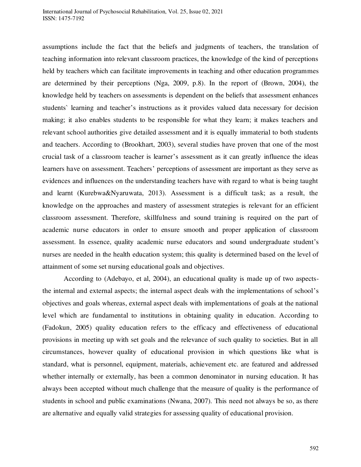assumptions include the fact that the beliefs and judgments of teachers, the translation of teaching information into relevant classroom practices, the knowledge of the kind of perceptions held by teachers which can facilitate improvements in teaching and other education programmes are determined by their perceptions (Nga, 2009, p.8). In the report of (Brown, 2004), the knowledge held by teachers on assessments is dependent on the beliefs that assessment enhances students` learning and teacher's instructions as it provides valued data necessary for decision making; it also enables students to be responsible for what they learn; it makes teachers and relevant school authorities give detailed assessment and it is equally immaterial to both students and teachers. According to (Brookhart, 2003), several studies have proven that one of the most crucial task of a classroom teacher is learner's assessment as it can greatly influence the ideas learners have on assessment. Teachers' perceptions of assessment are important as they serve as evidences and influences on the understanding teachers have with regard to what is being taught and learnt (Kurebwa&Nyaruwata, 2013). Assessment is a difficult task; as a result, the knowledge on the approaches and mastery of assessment strategies is relevant for an efficient classroom assessment. Therefore, skillfulness and sound training is required on the part of academic nurse educators in order to ensure smooth and proper application of classroom assessment. In essence, quality academic nurse educators and sound undergraduate student's nurses are needed in the health education system; this quality is determined based on the level of attainment of some set nursing educational goals and objectives.

According to (Adebayo, et al, 2004), an educational quality is made up of two aspectsthe internal and external aspects; the internal aspect deals with the implementations of school's objectives and goals whereas, external aspect deals with implementations of goals at the national level which are fundamental to institutions in obtaining quality in education. According to (Fadokun, 2005) quality education refers to the efficacy and effectiveness of educational provisions in meeting up with set goals and the relevance of such quality to societies. But in all circumstances, however quality of educational provision in which questions like what is standard, what is personnel, equipment, materials, achievement etc. are featured and addressed whether internally or externally, has been a common denominator in nursing education. It has always been accepted without much challenge that the measure of quality is the performance of students in school and public examinations (Nwana, 2007). This need not always be so, as there are alternative and equally valid strategies for assessing quality of educational provision.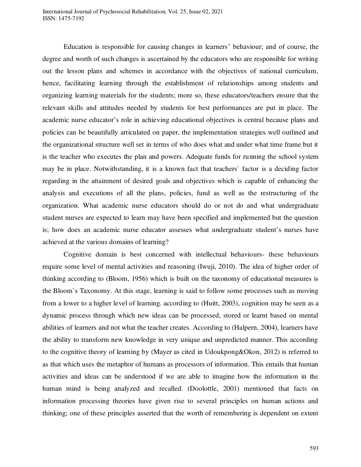Education is responsible for causing changes in learners' behaviour; and of course, the degree and worth of such changes is ascertained by the educators who are responsible for writing out the lesson plans and schemes in accordance with the objectives of national curriculum, hence, facilitating learning through the establishment of relationships among students and organizing learning materials for the students; more so, these educators/teachers ensure that the relevant skills and attitudes needed by students for best performances are put in place. The academic nurse educator's role in achieving educational objectives is central because plans and policies can be beautifully articulated on paper, the implementation strategies well outlined and the organizational structure well set in terms of who does what and under what time frame but it is the teacher who executes the plan and powers. Adequate funds for running the school system may be in place. Notwithstanding, it is a known fact that teachers` factor is a deciding factor regarding in the attainment of desired goals and objectives which is capable of enhancing the analysis and executions of all the plans, policies, fund as well as the restructuring of the organization. What academic nurse educators should do or not do and what undergraduate student nurses are expected to learn may have been specified and implemented but the question is; how does an academic nurse educator assesses what undergraduate student's nurses have achieved at the various domains of learning?

Cognitive domain is best concerned with intellectual behaviours- these behaviours require some level of mental activities and reasoning (Iwuji, 2010). The idea of higher order of thinking according to (Bloom, 1956) which is built on the taxonomy of educational measures is the Bloom`s Taxonomy. At this stage, learning is said to follow some processes such as moving from a lower to a higher level of learning. according to (Huitt, 2003), cognition may be seen as a dynamic process through which new ideas can be processed, stored or learnt based on mental abilities of learners and not what the teacher creates. According to (Halpern, 2004), learners have the ability to transform new knowledge in very unique and unpredicted manner. This according to the cognitive theory of learning by (Mayer as cited in Udoukpong&Okon, 2012) is referred to as that which uses the metaphor of humans as processors of information. This entails that human activities and ideas can be understood if we are able to imagine how the information in the human mind is being analyzed and recalled. (Doolottle, 2001) mentioned that facts on information processing theories have given rise to several principles on human actions and thinking; one of these principles asserted that the worth of remembering is dependent on extent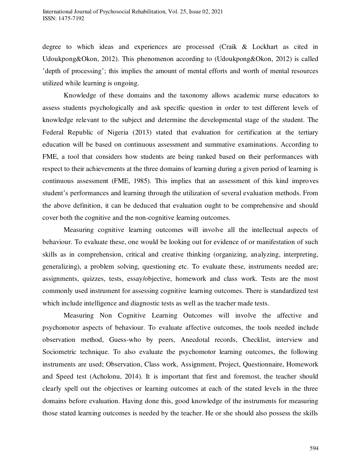degree to which ideas and experiences are processed (Craik & Lockhart as cited in Udoukpong&Okon, 2012). This phenomenon according to (Udoukpong&Okon, 2012) is called 'depth of processing'; this implies the amount of mental efforts and worth of mental resources utilized while learning is ongoing.

Knowledge of these domains and the taxonomy allows academic nurse educators to assess students psychologically and ask specific question in order to test different levels of knowledge relevant to the subject and determine the developmental stage of the student. The Federal Republic of Nigeria (2013) stated that evaluation for certification at the tertiary education will be based on continuous assessment and summative examinations. According to FME, a tool that considers how students are being ranked based on their performances with respect to their achievements at the three domains of learning during a given period of learning is continuous assessment (FME, 1985). This implies that an assessment of this kind improves student's performances and learning through the utilization of several evaluation methods. From the above definition, it can be deduced that evaluation ought to be comprehensive and should cover both the cognitive and the non-cognitive learning outcomes.

Measuring cognitive learning outcomes will involve all the intellectual aspects of behaviour. To evaluate these, one would be looking out for evidence of or manifestation of such skills as in comprehension, critical and creative thinking (organizing, analyzing, interpreting, generalizing), a problem solving, questioning etc. To evaluate these, instruments needed are; assignments, quizzes, tests, essay/objective, homework and class work. Tests are the most commonly used instrument for assessing cognitive learning outcomes. There is standardized test which include intelligence and diagnostic tests as well as the teacher made tests.

Measuring Non Cognitive Learning Outcomes will involve the affective and psychomotor aspects of behaviour. To evaluate affective outcomes, the tools needed include observation method, Guess-who by peers, Anecdotal records, Checklist, interview and Sociometric technique. To also evaluate the psychomotor learning outcomes, the following instruments are used; Observation, Class work, Assignment, Project, Questionnaire, Homework and Speed test (Acholonu, 2014). It is important that first and foremost, the teacher should clearly spell out the objectives or learning outcomes at each of the stated levels in the three domains before evaluation. Having done this, good knowledge of the instruments for measuring those stated learning outcomes is needed by the teacher. He or she should also possess the skills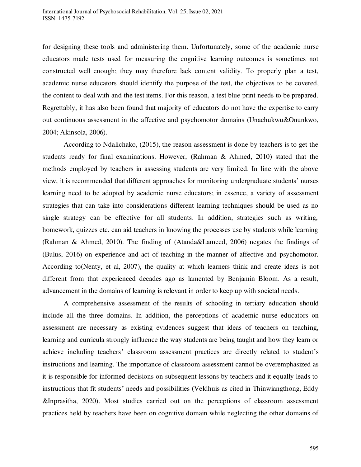for designing these tools and administering them. Unfortunately, some of the academic nurse educators made tests used for measuring the cognitive learning outcomes is sometimes not constructed well enough; they may therefore lack content validity. To properly plan a test, academic nurse educators should identify the purpose of the test, the objectives to be covered, the content to deal with and the test items. For this reason, a test blue print needs to be prepared. Regrettably, it has also been found that majority of educators do not have the expertise to carry out continuous assessment in the affective and psychomotor domains (Unachukwu&Onunkwo, 2004; Akinsola, 2006).

According to Ndalichako, (2015), the reason assessment is done by teachers is to get the students ready for final examinations. However, (Rahman & Ahmed, 2010) stated that the methods employed by teachers in assessing students are very limited. In line with the above view, it is recommended that different approaches for monitoring undergraduate students' nurses learning need to be adopted by academic nurse educators; in essence, a variety of assessment strategies that can take into considerations different learning techniques should be used as no single strategy can be effective for all students. In addition, strategies such as writing, homework, quizzes etc. can aid teachers in knowing the processes use by students while learning (Rahman & Ahmed, 2010). The finding of (Atanda&Lameed, 2006) negates the findings of (Bulus, 2016) on experience and act of teaching in the manner of affective and psychomotor. According to(Nenty, et al, 2007), the quality at which learners think and create ideas is not different from that experienced decades ago as lamented by Benjamin Bloom. As a result, advancement in the domains of learning is relevant in order to keep up with societal needs.

A comprehensive assessment of the results of schooling in tertiary education should include all the three domains. In addition, the perceptions of academic nurse educators on assessment are necessary as existing evidences suggest that ideas of teachers on teaching, learning and curricula strongly influence the way students are being taught and how they learn or achieve including teachers' classroom assessment practices are directly related to student's instructions and learning. The importance of classroom assessment cannot be overemphasized as it is responsible for informed decisions on subsequent lessons by teachers and it equally leads to instructions that fit students' needs and possibilities (Veldhuis as cited in Thinwiangthong, Eddy &Inprasitha, 2020). Most studies carried out on the perceptions of classroom assessment practices held by teachers have been on cognitive domain while neglecting the other domains of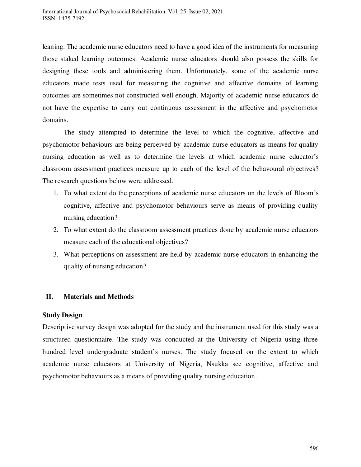leaning. The academic nurse educators need to have a good idea of the instruments for measuring those staked learning outcomes. Academic nurse educators should also possess the skills for designing these tools and administering them. Unfortunately, some of the academic nurse educators made tests used for measuring the cognitive and affective domains of learning outcomes are sometimes not constructed well enough. Majority of academic nurse educators do not have the expertise to carry out continuous assessment in the affective and psychomotor domains.

The study attempted to determine the level to which the cognitive, affective and psychomotor behaviours are being perceived by academic nurse educators as means for quality nursing education as well as to determine the levels at which academic nurse educator's classroom assessment practices measure up to each of the level of the behavoural objectives? The research questions below were addressed.

- 1. To what extent do the perceptions of academic nurse educators on the levels of Bloom's cognitive, affective and psychomotor behaviours serve as means of providing quality nursing education?
- 2. To what extent do the classroom assessment practices done by academic nurse educators measure each of the educational objectives?
- 3. What perceptions on assessment are held by academic nurse educators in enhancing the quality of nursing education?

# **II. Materials and Methods**

### **Study Design**

Descriptive survey design was adopted for the study and the instrument used for this study was a structured questionnaire. The study was conducted at the University of Nigeria using three hundred level undergraduate student's nurses. The study focused on the extent to which academic nurse educators at University of Nigeria, Nsukka see cognitive, affective and psychomotor behaviours as a means of providing quality nursing education.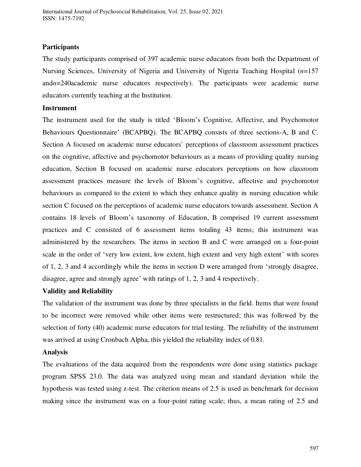### **Participants**

The study participants comprised of 397 academic nurse educators from both the Department of Nursing Sciences, University of Nigeria and University of Nigeria Teaching Hospital (*n*=157 and*n*=240academic nurse educators respectively). The participants were academic nurse educators currently teaching at the Institution.

## **Instrument**

The instrument used for the study is titled 'Bloom's Cognitive, Affective, and Psychomotor Behaviours Questionnaire' (BCAPBQ). The BCAPBQ consists of three sections-A, B and C. Section A focused on academic nurse educators` perceptions of classroom assessment practices on the cognitive, affective and psychomotor behaviours as a means of providing quality nursing education, Section B focused on academic nurse educators perceptions on how classroom assessment practices measure the levels of Bloom's cognitive, affective and psychomotor behaviours as compared to the extent to which they enhance quality in nursing education while section C focused on the perceptions of academic nurse educators towards assessment. Section A contains 18 levels of Bloom's taxonomy of Education, B comprised 19 current assessment practices and C consisted of 6 assessment items totaling 43 items; this instrument was administered by the researchers. The items in section B and C were arranged on a four-point scale in the order of 'very low extent, low extent, high extent and very high extent' with scores of 1, 2, 3 and 4 accordingly while the items in section D were arranged from 'strongly disagree, disagree, agree and strongly agree' with ratings of 1, 2, 3 and 4 respectively.

### **Validity and Reliability**

The validation of the instrument was done by three specialists in the field. Items that were found to be incorrect were removed while other items were restructured; this was followed by the selection of forty (40) academic nurse educators for trial testing. The reliability of the instrument was arrived at using Cronbach Alpha, this yielded the reliability index of 0.81.

### **Analysis**

The evaluations of the data acquired from the respondents were done using statistics package program SPSS 23.0. The data was analyzed using mean and standard deviation while the hypothesis was tested using z-test. The criterion means of 2.5 is used as benchmark for decision making since the instrument was on a four-point rating scale; thus, a mean rating of 2.5 and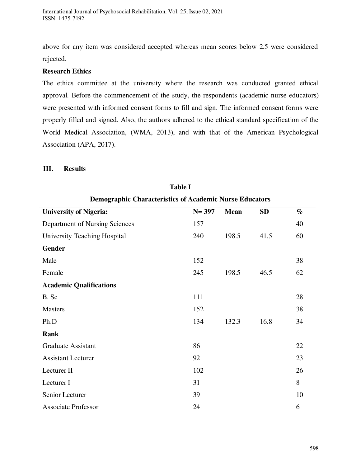above for any item was considered accepted whereas mean scores below 2.5 were considered rejected.

# **Research Ethics**

The ethics committee at the university where the research was conducted granted ethical approval. Before the commencement of the study, the respondents (academic nurse educators) were presented with informed consent forms to fill and sign. The informed consent forms were properly filled and signed. Also, the authors adhered to the ethical standard specification of the World Medical Association, (WMA, 2013), and with that of the American Psychological Association (APA, 2017).

### **III. Results**

| <b>Demographic Characteristics of Academic Nurse Educators</b> |             |           |      |  |  |
|----------------------------------------------------------------|-------------|-----------|------|--|--|
| $N = 397$                                                      | <b>Mean</b> | <b>SD</b> | $\%$ |  |  |
| 157                                                            |             |           | 40   |  |  |
| 240                                                            | 198.5       | 41.5      | 60   |  |  |
|                                                                |             |           |      |  |  |
| 152                                                            |             |           | 38   |  |  |
| 245                                                            | 198.5       | 46.5      | 62   |  |  |
|                                                                |             |           |      |  |  |
| 111                                                            |             |           | 28   |  |  |
| 152                                                            |             |           | 38   |  |  |
| 134                                                            | 132.3       | 16.8      | 34   |  |  |
|                                                                |             |           |      |  |  |
| 86                                                             |             |           | 22   |  |  |
| 92                                                             |             |           | 23   |  |  |
| 102                                                            |             |           | 26   |  |  |
| 31                                                             |             |           | 8    |  |  |
| 39                                                             |             |           | 10   |  |  |
| 24                                                             |             |           | 6    |  |  |
|                                                                |             |           |      |  |  |

**Table I**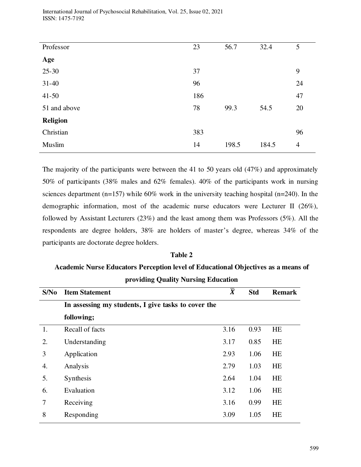| Professor       | 23  | 56.7  | 32.4  | 5              |
|-----------------|-----|-------|-------|----------------|
| Age             |     |       |       |                |
| $25 - 30$       | 37  |       |       | 9              |
| $31 - 40$       | 96  |       |       | 24             |
| $41 - 50$       | 186 |       |       | 47             |
| 51 and above    | 78  | 99.3  | 54.5  | 20             |
| <b>Religion</b> |     |       |       |                |
| Christian       | 383 |       |       | 96             |
| Muslim          | 14  | 198.5 | 184.5 | $\overline{4}$ |

The majority of the participants were between the 41 to 50 years old (47%) and approximately 50% of participants (38% males and 62% females). 40% of the participants work in nursing sciences department (n=157) while 60% work in the university teaching hospital (n=240). In the demographic information, most of the academic nurse educators were Lecturer II (26%), followed by Assistant Lecturers (23%) and the least among them was Professors (5%). All the respondents are degree holders, 38% are holders of master's degree, whereas 34% of the participants are doctorate degree holders.

### **Table 2**

# **Academic Nurse Educators Perception level of Educational Objectives as a means of providing Quality Nursing Education**

| S/N <sub>0</sub> | <b>Item Statement</b>                               | $\overline{\overline{X}}$ | <b>Std</b> | <b>Remark</b> |
|------------------|-----------------------------------------------------|---------------------------|------------|---------------|
|                  | In assessing my students, I give tasks to cover the |                           |            |               |
|                  | following;                                          |                           |            |               |
| 1.               | Recall of facts                                     | 3.16                      | 0.93       | <b>HE</b>     |
| 2.               | Understanding                                       | 3.17                      | 0.85       | <b>HE</b>     |
| 3                | Application                                         | 2.93                      | 1.06       | <b>HE</b>     |
| 4.               | Analysis                                            | 2.79                      | 1.03       | <b>HE</b>     |
| 5.               | Synthesis                                           | 2.64                      | 1.04       | <b>HE</b>     |
| 6.               | Evaluation                                          | 3.12                      | 1.06       | <b>HE</b>     |
| 7                | Receiving                                           | 3.16                      | 0.99       | <b>HE</b>     |
| 8                | Responding                                          | 3.09                      | 1.05       | <b>HE</b>     |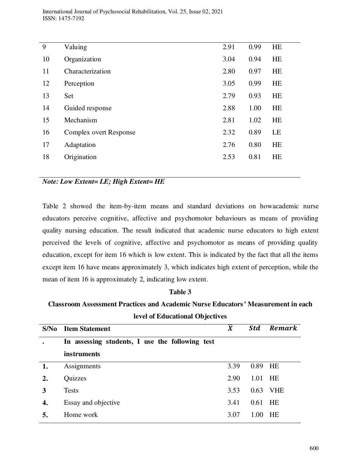| 9  | Valuing                | 2.91 | 0.99 | <b>HE</b> |
|----|------------------------|------|------|-----------|
| 10 | Organization           | 3.04 | 0.94 | <b>HE</b> |
| 11 | Characterization       | 2.80 | 0.97 | <b>HE</b> |
| 12 | Perception             | 3.05 | 0.99 | <b>HE</b> |
| 13 | Set                    | 2.79 | 0.93 | <b>HE</b> |
| 14 | Guided response        | 2.88 | 1.00 | HE        |
| 15 | Mechanism              | 2.81 | 1.02 | <b>HE</b> |
| 16 | Complex overt Response | 2.32 | 0.89 | LE        |
| 17 | Adaptation             | 2.76 | 0.80 | <b>HE</b> |
| 18 | Origination            | 2.53 | 0.81 | HE        |
|    |                        |      |      |           |

# *Note: Low Extent= LE; High Extent= HE*

Table 2 showed the item-by-item means and standard deviations on howacademic nurse educators perceive cognitive, affective and psychomotor behaviours as means of providing quality nursing education. The result indicated that academic nurse educators to high extent perceived the levels of cognitive, affective and psychomotor as means of providing quality education, except for item 16 which is low extent. This is indicated by the fact that all the items except item 16 have means approximately 3, which indicates high extent of perception, while the mean of item 16 is approximately 2, indicating low extent.

### **Table 3**

**Classroom Assessment Practices and Academic Nurse Educators' Measurement in each level of Educational Objectives**

| S/No | <b>Item Statement</b>                           | $\overline{X}$ | <b>Std</b> | Remark     |
|------|-------------------------------------------------|----------------|------------|------------|
|      | In assessing students, I use the following test |                |            |            |
|      | <i>instruments</i>                              |                |            |            |
| 1.   | Assignments                                     | 3.39           | 0.89       | HE         |
| 2.   | Quizzes                                         | 2.90           | 1.01       | HE         |
| 3    | <b>Tests</b>                                    | 3.53           | 0.63       | <b>VHE</b> |
| 4.   | Essay and objective                             | 3.41           | 0.61       | HE         |
| 5.   | Home work                                       | 3.07           | 1.00       | <b>HE</b>  |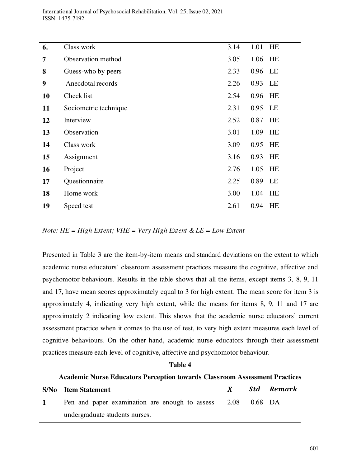| 6.        | Class work            | 3.14 | 1.01    | HE |
|-----------|-----------------------|------|---------|----|
| 7         | Observation method    | 3.05 | 1.06 HE |    |
| 8         | Guess-who by peers    | 2.33 | 0.96    | LE |
| 9         | Anecdotal records     | 2.26 | 0.93    | LE |
| <b>10</b> | Check list            | 2.54 | 0.96    | HE |
| 11        | Sociometric technique | 2.31 | 0.95 LE |    |
| 12        | Interview             | 2.52 | 0.87    | HE |
| 13        | Observation           | 3.01 | 1.09    | HE |
| 14        | Class work            | 3.09 | 0.95    | HE |
| 15        | Assignment            | 3.16 | 0.93    | HE |
| 16        | Project               | 2.76 | 1.05    | HE |
| 17        | Questionnaire         | 2.25 | 0.89    | LE |
| 18        | Home work             | 3.00 | 1.04    | HE |
| 19        | Speed test            | 2.61 | 0.94    | HE |
|           |                       |      |         |    |

*Note: HE = High Extent; VHE = Very High Extent & LE = Low Extent* 

Presented in Table 3 are the item-by-item means and standard deviations on the extent to which academic nurse educators` classroom assessment practices measure the cognitive, affective and psychomotor behaviours. Results in the table shows that all the items, except items 3, 8, 9, 11 and 17, have mean scores approximately equal to 3 for high extent. The mean score for item 3 is approximately 4, indicating very high extent, while the means for items 8, 9, 11 and 17 are approximately 2 indicating low extent. This shows that the academic nurse educators' current assessment practice when it comes to the use of test, to very high extent measures each level of cognitive behaviours. On the other hand, academic nurse educators through their assessment practices measure each level of cognitive, affective and psychomotor behaviour.

### **Table 4**

### **Academic Nurse Educators Perception towards Classroom Assessment Practices**

| <b>S/No</b> Item Statement                                  |  | Std Remark |
|-------------------------------------------------------------|--|------------|
| Pen and paper examination are enough to assess 2.08 0.68 DA |  |            |
| undergraduate students nurses.                              |  |            |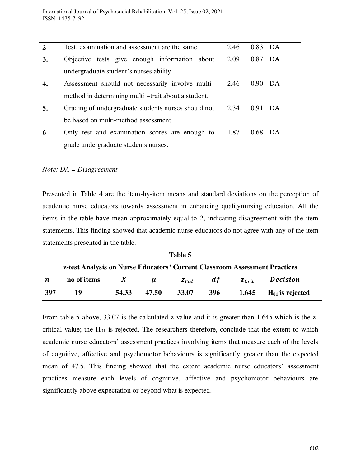| $\overline{2}$ | Test, examination and assessment are the same       | 2.46 | $0.83$ DA            |    |
|----------------|-----------------------------------------------------|------|----------------------|----|
| 3.             | Objective tests give enough information about       | 2.09 | 0.87                 | DA |
|                | undergraduate student's nurses ability              |      |                      |    |
| 4.             | Assessment should not necessarily involve multi-    | 2.46 | $0.90\quad\text{DA}$ |    |
|                | method in determining multi-trait about a student.  |      |                      |    |
| 5.             | Grading of undergraduate students nurses should not | 2.34 | $0.91$ DA            |    |
|                | be based on multi-method assessment                 |      |                      |    |
| 6              | Only test and examination scores are enough to      | 1.87 | $0.68$ DA            |    |
|                | grade undergraduate students nurses.                |      |                      |    |
|                |                                                     |      |                      |    |

*Note: DA = Disagreement* 

Presented in Table 4 are the item-by-item means and standard deviations on the perception of academic nurse educators towards assessment in enhancing qualitynursing education. All the items in the table have mean approximately equal to 2, indicating disagreement with the item statements. This finding showed that academic nurse educators do not agree with any of the item statements presented in the table.

**Table 5 z-test Analysis on Nurse Educators' Current Classroom Assessment Practices**  *n* no of items  $\bar{X}$   $\mu$   $z_{Cal}$   $df$   $z_{Crit}$  Decision **397 19 54.33 47.50 33.07 396 1.645 H01 is rejected** 

From table 5 above, 33.07 is the calculated z-value and it is greater than 1.645 which is the zcritical value; the  $H_{01}$  is rejected. The researchers therefore, conclude that the extent to which academic nurse educators' assessment practices involving items that measure each of the levels of cognitive, affective and psychomotor behaviours is significantly greater than the expected mean of 47.5. This finding showed that the extent academic nurse educators' assessment practices measure each levels of cognitive, affective and psychomotor behaviours are significantly above expectation or beyond what is expected.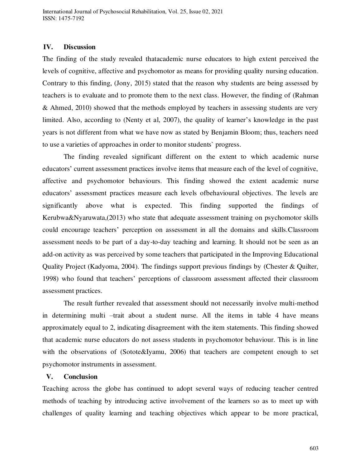### **IV. Discussion**

The finding of the study revealed thatacademic nurse educators to high extent perceived the levels of cognitive, affective and psychomotor as means for providing quality nursing education. Contrary to this finding, (Jony, 2015) stated that the reason why students are being assessed by teachers is to evaluate and to promote them to the next class. However, the finding of (Rahman & Ahmed, 2010) showed that the methods employed by teachers in assessing students are very limited. Also, according to (Nenty et al, 2007), the quality of learner's knowledge in the past years is not different from what we have now as stated by Benjamin Bloom; thus, teachers need to use a varieties of approaches in order to monitor students` progress.

The finding revealed significant different on the extent to which academic nurse educators' current assessment practices involve items that measure each of the level of cognitive, affective and psychomotor behaviours. This finding showed the extent academic nurse educators' assessment practices measure each levels ofbehavioural objectives. The levels are significantly above what is expected. This finding supported the findings of Kerubwa&Nyaruwata,(2013) who state that adequate assessment training on psychomotor skills could encourage teachers' perception on assessment in all the domains and skills.Classroom assessment needs to be part of a day-to-day teaching and learning. It should not be seen as an add-on activity as was perceived by some teachers that participated in the Improving Educational Quality Project (Kadyoma, 2004). The findings support previous findings by (Chester & Quilter, 1998) who found that teachers' perceptions of classroom assessment affected their classroom assessment practices.

The result further revealed that assessment should not necessarily involve multi-method in determining multi –trait about a student nurse. All the items in table 4 have means approximately equal to 2, indicating disagreement with the item statements. This finding showed that academic nurse educators do not assess students in psychomotor behaviour. This is in line with the observations of (Sotote&Iyamu, 2006) that teachers are competent enough to set psychomotor instruments in assessment.

### **V. Conclusion**

Teaching across the globe has continued to adopt several ways of reducing teacher centred methods of teaching by introducing active involvement of the learners so as to meet up with challenges of quality learning and teaching objectives which appear to be more practical,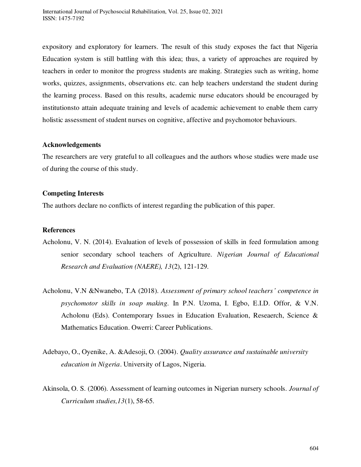expository and exploratory for learners. The result of this study exposes the fact that Nigeria Education system is still battling with this idea; thus, a variety of approaches are required by teachers in order to monitor the progress students are making. Strategies such as writing, home works, quizzes, assignments, observations etc. can help teachers understand the student during the learning process. Based on this results, academic nurse educators should be encouraged by institutionsto attain adequate training and levels of academic achievement to enable them carry holistic assessment of student nurses on cognitive, affective and psychomotor behaviours.

### **Acknowledgements**

The researchers are very grateful to all colleagues and the authors whose studies were made use of during the course of this study.

# **Competing Interests**

The authors declare no conflicts of interest regarding the publication of this paper.

## **References**

- Acholonu, V. N. (2014). Evaluation of levels of possession of skills in feed formulation among senior secondary school teachers of Agriculture. *Nigerian Journal of Educational Research and Evaluation (NAERE), 13*(2), 121-129.
- Acholonu, V.N &Nwanebo, T.A (2018). *Assessment of primary school teachers' competence in psychomotor skills in soap making.* In P.N. Uzoma, I. Egbo, E.I.D. Offor, & V.N. Acholonu (Eds). Contemporary Issues in Education Evaluation, Reseaerch, Science & Mathematics Education. Owerri: Career Publications.
- Adebayo, O., Oyenike, A. &Adesoji, O. (2004). *Quality assurance and sustainable university education in Nigeria*. University of Lagos, Nigeria.
- Akinsola, O. S. (2006). Assessment of learning outcomes in Nigerian nursery schools. *Journal of Curriculum studies,13*(1), 58-65.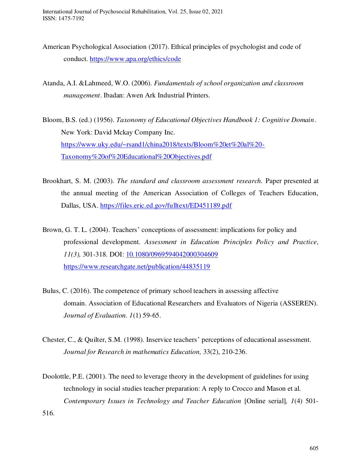- American Psychological Association (2017). Ethical principles of psychologist and code of conduct.<https://www.apa.org/ethics/code>
- Atanda, A.I. &Lahmeed, W.O. (2006). *Fundamentals of school organization and classroom management*. Ibadan: Awen Ark Industrial Printers.
- Bloom, B.S. (ed.) (1956). *Taxonomy of Educational Objectives Handbook 1: Cognitive Domain*. New York: David Mckay Company Inc. [https://www.uky.edu/~rsand1/china2018/texts/Bloom%20et%20al%20-](https://www.uky.edu/~rsand1/china2018/texts/Bloom%20et%20al%20-Taxonomy%20of%20Educational%20Objectives.pdf) [Taxonomy%20of%20Educational%20Objectives.pdf](https://www.uky.edu/~rsand1/china2018/texts/Bloom%20et%20al%20-Taxonomy%20of%20Educational%20Objectives.pdf)
- Brookhart, S. M. (2003). *The standard and classroom assessment research.* Paper presented at the annual meeting of the American Association of Colleges of Teachers Education, Dallas, USA.<https://files.eric.ed.gov/fulltext/ED451189.pdf>
- Brown, G. T. L. (2004). Teachers' conceptions of assessment: implications for policy and professional development. *Assessment in Education Principles Policy and Practice, 11(3),* 301-318. DOI: [10.1080/0969594042000304609](https://www.researchgate.net/deref/http%3A%2F%2Fdx.doi.org%2F10.1080%2F0969594042000304609?_sg%5B0%5D=CsJA8Ke2UqaLPPcaccpOhz7piDGEFYaeWqFQfAZR53EOLsldFSwkgwjLTecx4n_ZwEYEWcaM6hA5II3L512z3ZDVlw.9CrcBq-5VVK8kom43wxKblcY86vmfRG6On9655ciFuMH8PHY3rzh-v-v_KQ_Kg9Z8q3ryaWQkUShnwZ_k_JMMg) <https://www.researchgate.net/publication/44835119>
- Bulus, C. (2016). The competence of primary school teachers in assessing affective domain. Association of Educational Researchers and Evaluators of Nigeria (ASSEREN). *Journal of Evaluation. 1*(1) 59-65.
- Chester, C., & Quilter, S.M. (1998). Inservice teachers' perceptions of educational assessment. *Journal for Research in mathematics Education,* 33(2), 210-236.
- Doolottle, P.E. (2001). The need to leverage theory in the development of guidelines for using technology in social studies teacher preparation: A reply to Crocco and Mason et al. *Contemporary Issues in Technology and Teacher Education [Online serial], 1(4) 501-*

516.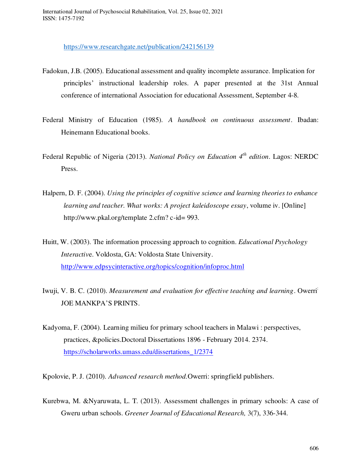<https://www.researchgate.net/publication/242156139>

- Fadokun, J.B. (2005). Educational assessment and quality incomplete assurance. Implication for principles' instructional leadership roles. A paper presented at the 31st Annual conference of international Association for educational Assessment, September 4-8.
- Federal Ministry of Education (1985). *A handbook on continuous assessment*. Ibadan: Heinemann Educational books.
- Federal Republic of Nigeria (2013). *National Policy on Education 4th edition*. Lagos: NERDC Press.
- Halpern, D. F. (2004). *Using the principles of cognitive science and learning theories to enhance learning and teacher. What works: A project kaleidoscope essay*, volume iv. [Online] http://www.pkal.org/template 2.cfm? c-id= 993.
- Huitt, W. (2003). The information processing approach to cognition. *Educational Psychology Interactiv*e. Voldosta, GA: Voldosta State University. <http://www.edpsycinteractive.org/topics/cognition/infoproc.html>
- Iwuji, V. B. C. (2010). *Measurement and evaluation for effective teaching and learning*. Owerri: JOE MANKPA'S PRINTS.
- Kadyoma, F. (2004). Learning milieu for primary school teachers in Malawi : perspectives, practices, &policies.Doctoral Dissertations 1896 - February 2014. 2374. [https://scholarworks.umass.edu/dissertations\\_1/2374](https://scholarworks.umass.edu/dissertations_1/2374)
- Kpolovie, P. J. (2010). *Advanced research method.*Owerri: springfield publishers.
- Kurebwa, M. &Nyaruwata, L. T. (2013). Assessment challenges in primary schools: A case of Gweru urban schools. *Greener Journal of Educational Research,* 3(7), 336-344.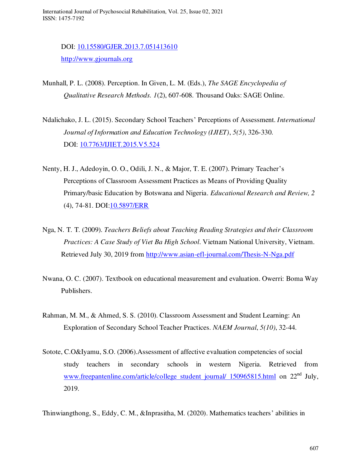DOI: [10.15580/GJER.2013.7.051413610](https://www.researchgate.net/deref/http%3A%2F%2Fdx.doi.org%2F10.15580%2FGJER.2013.7.051413610?_sg%5B0%5D=ImbWG8PR3cMqzCmuaLWDjDlj-6LS6X73R-v0yOssrbsMnaCrBYiej88PgSFes3fDAdWeLtwNt0iwYIx29Zffz1KhyA.zxHXgK3HdBJ8eb8YTTIB8H97-j7wLpEQu9V5Zav3S8cOU3vInDmBhD97atrOUg1odR4L9LueXwR3HOqZC63S8A) [http://www.gjournals.org](http://www.gjournals.org/)

Munhall, P. L. (2008). Perception. In Given, L. M. (Eds.), *The SAGE Encyclopedia of Qualitative Research Methods. 1*(2), 607-608. Thousand Oaks: SAGE Online.

Ndalichako, J. L. (2015). Secondary School Teachers' Perceptions of Assessment. *International Journal of Information and Education Technology (IJIET)*, *5(5)*, 326-330. DOI: [10.7763/IJIET.2015.V5.524](https://www.researchgate.net/deref/http%3A%2F%2Fdx.doi.org%2F10.7763%2FIJIET.2015.V5.524?_sg%5B0%5D=aNDRtKSxxLZmfsOdBffs0vzlKHBs5WOa0vrk1zO7S5E9McVXcYAEBu1UGyi6nPJuYdYYHk11dUhztuzXhGW0gTUp0w.mi1WHYtO65xR3JVG736BEK5h-_A3x-G0uS1cfGwryNO41l8Nq2S2MyVeqiP1UbFbHMnR8tutENb1d8K3nBx4SQ)

- Nenty, H. J., Adedoyin, O. O., Odili, J. N., & Major, T. E. (2007). Primary Teacher's Perceptions of Classroom Assessment Practices as Means of Providing Quality Primary/basic Education by Botswana and Nigeria. *Educational Research and Review, 2*  (4), 74-81. DOI[:10.5897/ERR](https://doi.org/10.5897/ERR)
- Nga, N. T. T. (2009). *Teachers Beliefs about Teaching Reading Strategies and their Classroom Practices: A Case Study of Viet Ba High School*. Vietnam National University, Vietnam. Retrieved July 30, 2019 from<http://www.asian-efl-journal.com/Thesis-N-Nga.pdf>
- Nwana, O. C. (2007). Textbook on educational measurement and evaluation. Owerri: Boma Way Publishers.
- Rahman, M. M., & Ahmed, S. S. (2010). Classroom Assessment and Student Learning: An Exploration of Secondary School Teacher Practices. *NAEM Journal*, *5(10)*, 32-44.
- Sotote, C.O&Iyamu, S.O. (2006).Assessment of affective evaluation competencies of social study teachers in secondary schools in western Nigeria. Retrieved from [www.freepantenline.com/article/college student journal/ 150965815.html](http://www.freepantenline.com/article/college%20student%20journal/%20150965815.html) on 22<sup>nd</sup> July, 2019.

Thinwiangthong, S., Eddy, C. M., &Inprasitha, M. (2020). Mathematics teachers' abilities in